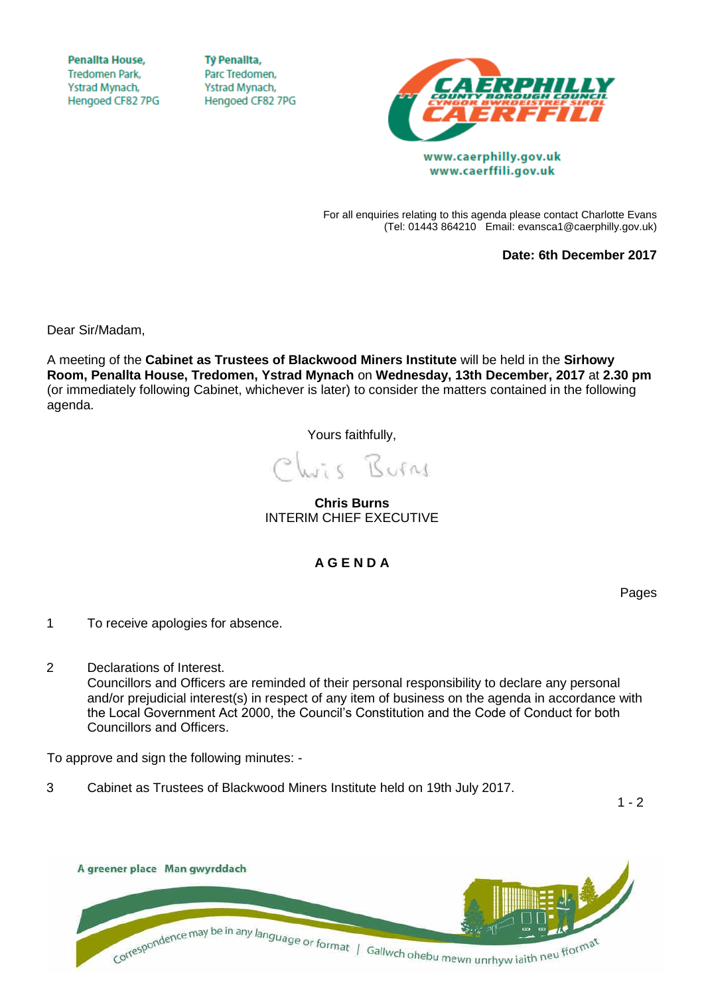**Penallta House, Tredomen Park.** Ystrad Mynach, Hengoed CF82 7PG

**TV Penallta,** Parc Tredomen. Ystrad Mynach, Hengoed CF82 7PG



For all enquiries relating to this agenda please contact Charlotte Evans (Tel: 01443 864210 Email: evansca1@caerphilly.gov.uk)

**Date: 6th December 2017**

Dear Sir/Madam,

A meeting of the **Cabinet as Trustees of Blackwood Miners Institute** will be held in the **Sirhowy Room, Penallta House, Tredomen, Ystrad Mynach** on **Wednesday, 13th December, 2017** at **2.30 pm** (or immediately following Cabinet, whichever is later) to consider the matters contained in the following agenda.

Yours faithfully,

Wis Burns

**Chris Burns** INTERIM CHIEF EXECUTIVE

**A G E N D A**

Pages

- 1 To receive apologies for absence.
- 2 Declarations of Interest. Councillors and Officers are reminded of their personal responsibility to declare any personal and/or prejudicial interest(s) in respect of any item of business on the agenda in accordance with the Local Government Act 2000, the Council's Constitution and the Code of Conduct for both Councillors and Officers.

To approve and sign the following minutes: -

3 Cabinet as Trustees of Blackwood Miners Institute held on 19th July 2017.

 $1 - 2$